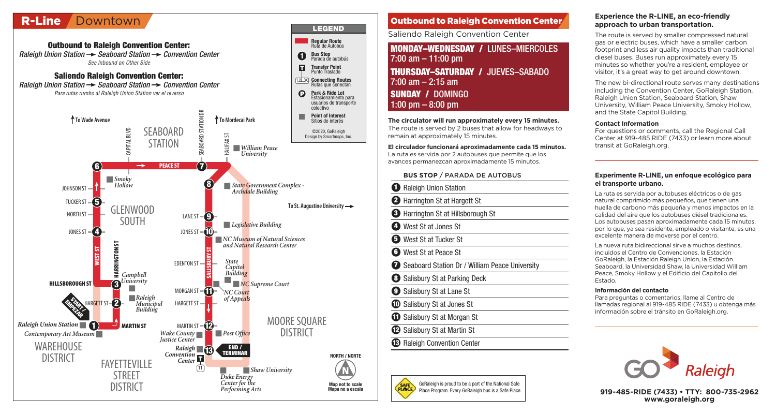# R-Line Downtown

**Regular Route** Ruta de Autobús **Outbound to Raleigh Convention Center:**  Raleigh Union Station  $\rightarrow$  Seaboard Station  $\rightarrow$  Convention Center **1 Bus Stop** Parada de autobús See Inbound on Other Side  $\blacksquare$ **Transfer Point** Punto Traslado **Saliendo Raleigh Convention Center: Connecting Routes** 1,2L,3X Raleigh Union Station  $\rightarrow$  Seaboard Station  $\rightarrow$  Convention Center Rutas que conectan Para rutas rumbo al Raleigh Union Station ver el reverso  $\boldsymbol{\Theta}$ **Park & Ride Lot** Estacionamiento para usuarios de transporte colectivo SEABOARD STATION DR **Point of Interest** ↑ To Wade Avenue<br>
SPAROARD Sitios de interés **SEABOARD** HARGETT ST HARGETT ST CAPITAL BLVD ©2020, GoRaleigh HALIFAX ST Design by Smartmaps, Inc. **STATION** *William Peace University* **6**  $\rightarrow$  **PEACE ST**  $\rightarrow$  **7** *Smoky* **8** *State Government Complex - Archdale Building Hollow* JOHNSON ST<sup>-</sup> **5** TUCKER ST NORTH ST **CLENWOOD To St. Augustine University** LANE ST $-\bigodot$ SOUTH *Legislative Building* JONES ST  $\blacksquare$   $\blacksquare$   $\blacksquare$ JONES ST $-\widehat{\mathbf{10}}$ *NC Museum of Natural Sciences* **HARRINGTON ST** *and Natural Research Center* **WEST ST SALISBURY ST** *State* EDENTON ST *Capitol Building Campbell* **3** *University* **HILLSBOROUGH ST** *NC Supreme Court* MORGAN ST  $\neg$ *NC Court Raleigh of Appeals* **START 2 EMPEZAR** *Municipal Building*  MOORE SOUARE **1** *Raleigh Union Station* **MARTIN ST** MARTIN ST  $\mathbf{2}$ **DISTRICT** *Contemporary Art Museum Wake County Justice Center Post Office* **WAREHOUSE**  $Raleigh$   $\blacksquare$ **END /** *Raleigh Convention* **TERMINAR NORTH / NORTE** DISTRICT FAYETTEVILLE *Center*  $(11)$ *Shaw University* STRFFT *Duke Energy Center for the* **Map not to scale** DISTRICT *Performing Arts* **Mapa no a escala**

## **1** Raleigh Union Station **2** Harrington St at Hargett St **3** Harrington St at Hillsborough St **4** West St at Jones St **5** West St at Tucker St **6** West St at Peace St **7** Seaboard Station Dr / William Peace University **8** Salisbury St at Parking Deck **9** Salisbury St at Lane St **10** Salisbury St at Jones St **MONDAY–WEDNESDAY /** LUNES–MIERCOLES 7:00 am – 11:00 pm **BUS STOP** / PARADA DE AUTOBUS **The circulator will run approximately every 15 minutes.**  The route is served by 2 buses that allow for headways to remain at approximately 15 minutes. **THURSDAY–SATURDAY /** JUEVES–SABADO  $7:00$  am  $-2:15$  am **SUNDAY /** DOMINGO 1:00 pm – 8:00 pm **El circulador funcionará aproximadamente cada 15 minutos.** La ruta es servida por 2 autobuses que permite que los avances permanezcan aproximadamente 15 minutos. Outbound to Raleigh Convention Center Saliendo Raleigh Convention Center

**LEGEND**

- **11** Salisbury St at Morgan St
- **12** Salisbury St at Martin St

**13** Raleigh Convention Center



#### **Experience the R-LINE, an eco-friendly approach to urban transportation.**

The route is served by smaller compressed natural gas or electric buses, which have a smaller carbon footprint and less air quality impacts than traditional diesel buses. Buses run approximately every 15 minutes so whether you're a resident, employee or visitor, it's a great way to get around downtown.

The new bi-directional route serves many destinations including the Convention Center, GoRaleigh Station, Raleigh Union Station, Seaboard Station, Shaw University, William Peace University, Smoky Hollow, and the State Capitol Building.

#### **Contact Information**

For questions or comments, call the Regional Call Center at 919-485 RIDE (7433) or learn more about transit at GoRaleigh.org.

#### **Experimente R-LINE, un enfoque ecológico para el transporte urbano.**

La ruta es servida por autobuses eléctricos o de gas natural comprimido más pequeños, que tienen una huella de carbono más pequeña y menos impactos en la calidad del aire que los autobuses diésel tradicionales. Los autobuses pasan aproximadamente cada 15 minutos, por lo que, ya sea residente, empleado o visitante, es una excelente manera de moverse por el centro.

La nueva ruta bidireccional sirve a muchos destinos, incluidos el Centro de Convenciones, la Estación GoRaleigh, la Estación Raleigh Union, la Estación Seaboard, la Universidad Shaw, la Universidad William Peace, Smoky Hollow y el Edificio del Capitolio del Estado.

#### **Información del contacto**

Para preguntas o comentarios, llame al Centro de llamadas regional al 919-485 RIDE (7433) u obtenga más información sobre el tránsito en GoRaleigh.org.



**919-485-RIDE (7433) • TTY: 800-735-2962 www.goraleigh.org**